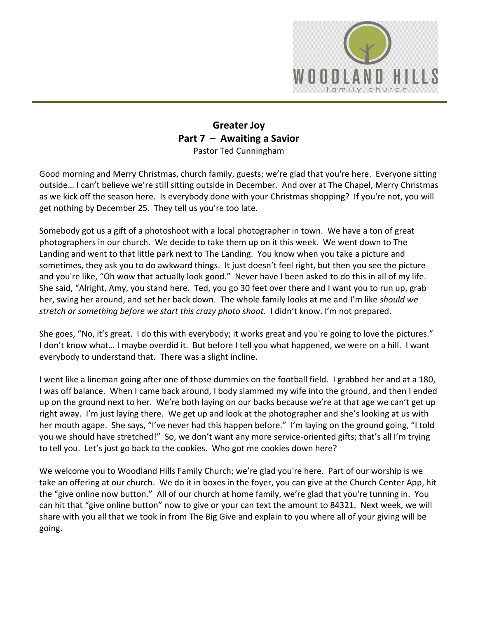

## **Greater Joy Part 7 – Awaiting a Savior** Pastor Ted Cunningham

Good morning and Merry Christmas, church family, guests; we're glad that you're here. Everyone sitting outside… I can't believe we're still sitting outside in December. And over at The Chapel, Merry Christmas as we kick off the season here. Is everybody done with your Christmas shopping? If you're not, you will get nothing by December 25. They tell us you're too late.

Somebody got us a gift of a photoshoot with a local photographer in town. We have a ton of great photographers in our church. We decide to take them up on it this week. We went down to The Landing and went to that little park next to The Landing. You know when you take a picture and sometimes, they ask you to do awkward things. It just doesn't feel right, but then you see the picture and you're like, "Oh wow that actually look good." Never have I been asked to do this in all of my life. She said, "Alright, Amy, you stand here. Ted, you go 30 feet over there and I want you to run up, grab her, swing her around, and set her back down. The whole family looks at me and I'm like *should we stretch or something before we start this crazy photo shoot.* I didn't know. I'm not prepared.

She goes, "No, it's great. I do this with everybody; it works great and you're going to love the pictures." I don't know what… I maybe overdid it. But before I tell you what happened, we were on a hill. I want everybody to understand that. There was a slight incline.

I went like a lineman going after one of those dummies on the football field. I grabbed her and at a 180, I was off balance. When I came back around, I body slammed my wife into the ground, and then I ended up on the ground next to her. We're both laying on our backs because we're at that age we can't get up right away. I'm just laying there. We get up and look at the photographer and she's looking at us with her mouth agape. She says, "I've never had this happen before." I'm laying on the ground going, "I told you we should have stretched!" So, we don't want any more service-oriented gifts; that's all I'm trying to tell you. Let's just go back to the cookies. Who got me cookies down here?

We welcome you to Woodland Hills Family Church; we're glad you're here. Part of our worship is we take an offering at our church. We do it in boxes in the foyer, you can give at the Church Center App, hit the "give online now button." All of our church at home family, we're glad that you're tunning in. You can hit that "give online button" now to give or your can text the amount to 84321. Next week, we will share with you all that we took in from The Big Give and explain to you where all of your giving will be going.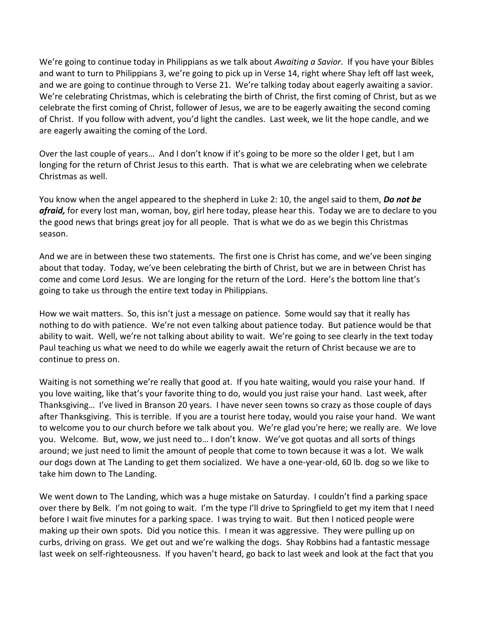We're going to continue today in Philippians as we talk about *Awaiting a Savior*. If you have your Bibles and want to turn to Philippians 3, we're going to pick up in Verse 14, right where Shay left off last week, and we are going to continue through to Verse 21. We're talking today about eagerly awaiting a savior. We're celebrating Christmas, which is celebrating the birth of Christ, the first coming of Christ, but as we celebrate the first coming of Christ, follower of Jesus, we are to be eagerly awaiting the second coming of Christ. If you follow with advent, you'd light the candles. Last week, we lit the hope candle, and we are eagerly awaiting the coming of the Lord.

Over the last couple of years… And I don't know if it's going to be more so the older I get, but I am longing for the return of Christ Jesus to this earth. That is what we are celebrating when we celebrate Christmas as well.

You know when the angel appeared to the shepherd in Luke 2: 10, the angel said to them, *Do not be afraid,* for every lost man, woman, boy, girl here today, please hear this. Today we are to declare to you the good news that brings great joy for all people. That is what we do as we begin this Christmas season.

And we are in between these two statements. The first one is Christ has come, and we've been singing about that today. Today, we've been celebrating the birth of Christ, but we are in between Christ has come and come Lord Jesus. We are longing for the return of the Lord. Here's the bottom line that's going to take us through the entire text today in Philippians.

How we wait matters. So, this isn't just a message on patience. Some would say that it really has nothing to do with patience. We're not even talking about patience today. But patience would be that ability to wait. Well, we're not talking about ability to wait. We're going to see clearly in the text today Paul teaching us what we need to do while we eagerly await the return of Christ because we are to continue to press on.

Waiting is not something we're really that good at. If you hate waiting, would you raise your hand. If you love waiting, like that's your favorite thing to do, would you just raise your hand. Last week, after Thanksgiving… I've lived in Branson 20 years. I have never seen towns so crazy as those couple of days after Thanksgiving. This is terrible. If you are a tourist here today, would you raise your hand. We want to welcome you to our church before we talk about you. We're glad you're here; we really are. We love you. Welcome. But, wow, we just need to… I don't know. We've got quotas and all sorts of things around; we just need to limit the amount of people that come to town because it was a lot. We walk our dogs down at The Landing to get them socialized. We have a one-year-old, 60 lb. dog so we like to take him down to The Landing.

We went down to The Landing, which was a huge mistake on Saturday. I couldn't find a parking space over there by Belk. I'm not going to wait. I'm the type I'll drive to Springfield to get my item that I need before I wait five minutes for a parking space. I was trying to wait. But then I noticed people were making up their own spots. Did you notice this. I mean it was aggressive. They were pulling up on curbs, driving on grass. We get out and we're walking the dogs. Shay Robbins had a fantastic message last week on self-righteousness. If you haven't heard, go back to last week and look at the fact that you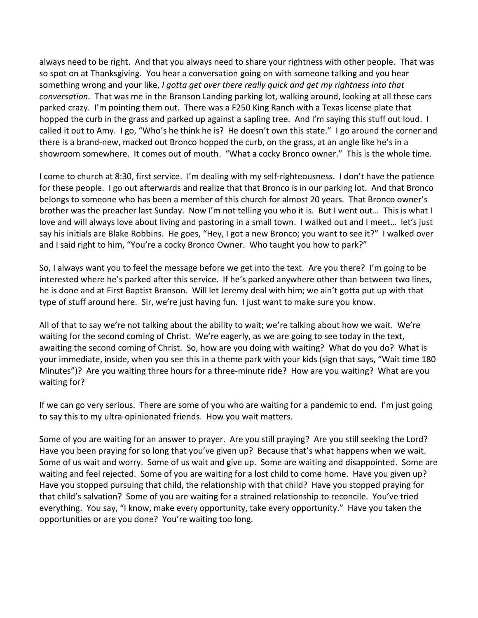always need to be right. And that you always need to share your rightness with other people. That was so spot on at Thanksgiving. You hear a conversation going on with someone talking and you hear something wrong and your like, *I gotta get over there really quick and get my rightness into that conversation.* That was me in the Branson Landing parking lot, walking around, looking at all these cars parked crazy. I'm pointing them out. There was a F250 King Ranch with a Texas license plate that hopped the curb in the grass and parked up against a sapling tree. And I'm saying this stuff out loud. I called it out to Amy. I go, "Who's he think he is? He doesn't own this state." I go around the corner and there is a brand-new, macked out Bronco hopped the curb, on the grass, at an angle like he's in a showroom somewhere. It comes out of mouth. "What a cocky Bronco owner." This is the whole time.

I come to church at 8:30, first service. I'm dealing with my self-righteousness. I don't have the patience for these people. I go out afterwards and realize that that Bronco is in our parking lot. And that Bronco belongs to someone who has been a member of this church for almost 20 years. That Bronco owner's brother was the preacher last Sunday. Now I'm not telling you who it is. But I went out… This is what I love and will always love about living and pastoring in a small town. I walked out and I meet… let's just say his initials are Blake Robbins. He goes, "Hey, I got a new Bronco; you want to see it?" I walked over and I said right to him, "You're a cocky Bronco Owner. Who taught you how to park?"

So, I always want you to feel the message before we get into the text. Are you there? I'm going to be interested where he's parked after this service. If he's parked anywhere other than between two lines, he is done and at First Baptist Branson. Will let Jeremy deal with him; we ain't gotta put up with that type of stuff around here. Sir, we're just having fun. I just want to make sure you know.

All of that to say we're not talking about the ability to wait; we're talking about how we wait. We're waiting for the second coming of Christ. We're eagerly, as we are going to see today in the text, awaiting the second coming of Christ. So, how are you doing with waiting? What do you do? What is your immediate, inside, when you see this in a theme park with your kids (sign that says, "Wait time 180 Minutes")? Are you waiting three hours for a three-minute ride? How are you waiting? What are you waiting for?

If we can go very serious. There are some of you who are waiting for a pandemic to end. I'm just going to say this to my ultra-opinionated friends. How you wait matters.

Some of you are waiting for an answer to prayer. Are you still praying? Are you still seeking the Lord? Have you been praying for so long that you've given up? Because that's what happens when we wait. Some of us wait and worry. Some of us wait and give up. Some are waiting and disappointed. Some are waiting and feel rejected. Some of you are waiting for a lost child to come home. Have you given up? Have you stopped pursuing that child, the relationship with that child? Have you stopped praying for that child's salvation? Some of you are waiting for a strained relationship to reconcile. You've tried everything. You say, "I know, make every opportunity, take every opportunity." Have you taken the opportunities or are you done? You're waiting too long.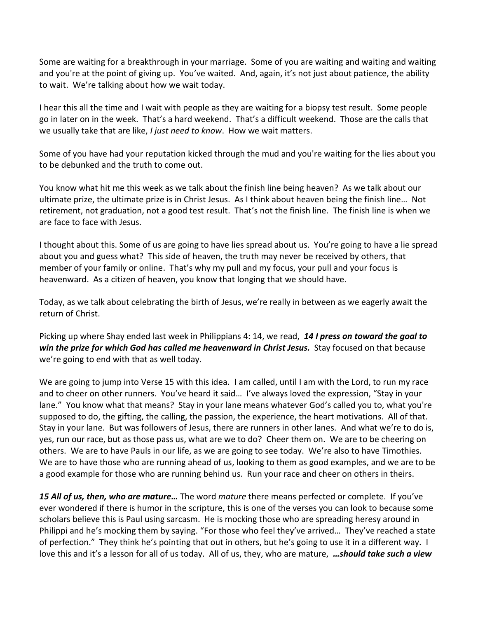Some are waiting for a breakthrough in your marriage. Some of you are waiting and waiting and waiting and you're at the point of giving up. You've waited. And, again, it's not just about patience, the ability to wait. We're talking about how we wait today.

I hear this all the time and I wait with people as they are waiting for a biopsy test result. Some people go in later on in the week. That's a hard weekend. That's a difficult weekend. Those are the calls that we usually take that are like, *I just need to know*. How we wait matters.

Some of you have had your reputation kicked through the mud and you're waiting for the lies about you to be debunked and the truth to come out.

You know what hit me this week as we talk about the finish line being heaven? As we talk about our ultimate prize, the ultimate prize is in Christ Jesus. As I think about heaven being the finish line… Not retirement, not graduation, not a good test result. That's not the finish line. The finish line is when we are face to face with Jesus.

I thought about this. Some of us are going to have lies spread about us. You're going to have a lie spread about you and guess what? This side of heaven, the truth may never be received by others, that member of your family or online. That's why my pull and my focus, your pull and your focus is heavenward. As a citizen of heaven, you know that longing that we should have.

Today, as we talk about celebrating the birth of Jesus, we're really in between as we eagerly await the return of Christ.

Picking up where Shay ended last week in Philippians 4: 14, we read, *14 I press on toward the goal to win the prize for which God has called me heavenward in Christ Jesus.* Stay focused on that because we're going to end with that as well today.

We are going to jump into Verse 15 with this idea. I am called, until I am with the Lord, to run my race and to cheer on other runners. You've heard it said… I've always loved the expression, "Stay in your lane." You know what that means? Stay in your lane means whatever God's called you to, what you're supposed to do, the gifting, the calling, the passion, the experience, the heart motivations. All of that. Stay in your lane. But was followers of Jesus, there are runners in other lanes. And what we're to do is, yes, run our race, but as those pass us, what are we to do? Cheer them on. We are to be cheering on others. We are to have Pauls in our life, as we are going to see today. We're also to have Timothies. We are to have those who are running ahead of us, looking to them as good examples, and we are to be a good example for those who are running behind us. Run your race and cheer on others in theirs.

*15 All of us, then, who are mature…* The word *mature* there means perfected or complete. If you've ever wondered if there is humor in the scripture, this is one of the verses you can look to because some scholars believe this is Paul using sarcasm. He is mocking those who are spreading heresy around in Philippi and he's mocking them by saying. "For those who feel they've arrived… They've reached a state of perfection." They think he's pointing that out in others, but he's going to use it in a different way. I love this and it's a lesson for all of us today. All of us, they, who are mature, *…should take such a view*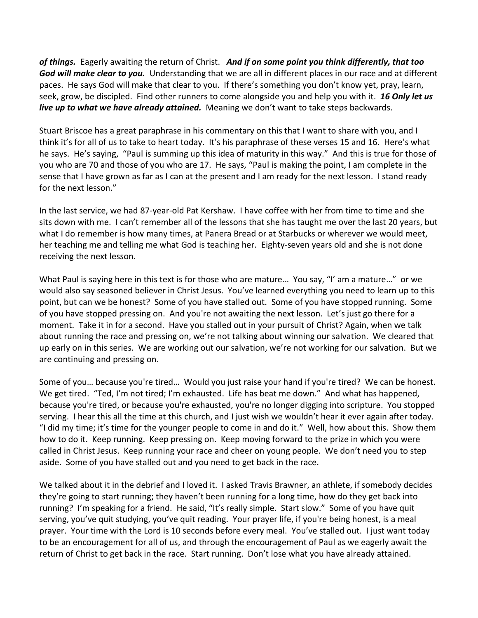*of things.* Eagerly awaiting the return of Christ. *And if on some point you think differently, that too God will make clear to you.* Understanding that we are all in different places in our race and at different paces. He says God will make that clear to you. If there's something you don't know yet, pray, learn, seek, grow, be discipled. Find other runners to come alongside you and help you with it. *16 Only let us live up to what we have already attained.* Meaning we don't want to take steps backwards.

Stuart Briscoe has a great paraphrase in his commentary on this that I want to share with you, and I think it's for all of us to take to heart today. It's his paraphrase of these verses 15 and 16. Here's what he says. He's saying, "Paul is summing up this idea of maturity in this way." And this is true for those of you who are 70 and those of you who are 17. He says, "Paul is making the point, I am complete in the sense that I have grown as far as I can at the present and I am ready for the next lesson. I stand ready for the next lesson."

In the last service, we had 87-year-old Pat Kershaw. I have coffee with her from time to time and she sits down with me. I can't remember all of the lessons that she has taught me over the last 20 years, but what I do remember is how many times, at Panera Bread or at Starbucks or wherever we would meet, her teaching me and telling me what God is teaching her. Eighty-seven years old and she is not done receiving the next lesson.

What Paul is saying here in this text is for those who are mature... You say, "I' am a mature..." or we would also say seasoned believer in Christ Jesus. You've learned everything you need to learn up to this point, but can we be honest? Some of you have stalled out. Some of you have stopped running. Some of you have stopped pressing on. And you're not awaiting the next lesson. Let's just go there for a moment. Take it in for a second. Have you stalled out in your pursuit of Christ? Again, when we talk about running the race and pressing on, we're not talking about winning our salvation. We cleared that up early on in this series. We are working out our salvation, we're not working for our salvation. But we are continuing and pressing on.

Some of you… because you're tired… Would you just raise your hand if you're tired? We can be honest. We get tired. "Ted, I'm not tired; I'm exhausted. Life has beat me down." And what has happened, because you're tired, or because you're exhausted, you're no longer digging into scripture. You stopped serving. I hear this all the time at this church, and I just wish we wouldn't hear it ever again after today. "I did my time; it's time for the younger people to come in and do it." Well, how about this. Show them how to do it. Keep running. Keep pressing on. Keep moving forward to the prize in which you were called in Christ Jesus. Keep running your race and cheer on young people. We don't need you to step aside. Some of you have stalled out and you need to get back in the race.

We talked about it in the debrief and I loved it. I asked Travis Brawner, an athlete, if somebody decides they're going to start running; they haven't been running for a long time, how do they get back into running? I'm speaking for a friend. He said, "It's really simple. Start slow." Some of you have quit serving, you've quit studying, you've quit reading. Your prayer life, if you're being honest, is a meal prayer. Your time with the Lord is 10 seconds before every meal. You've stalled out. I just want today to be an encouragement for all of us, and through the encouragement of Paul as we eagerly await the return of Christ to get back in the race. Start running. Don't lose what you have already attained.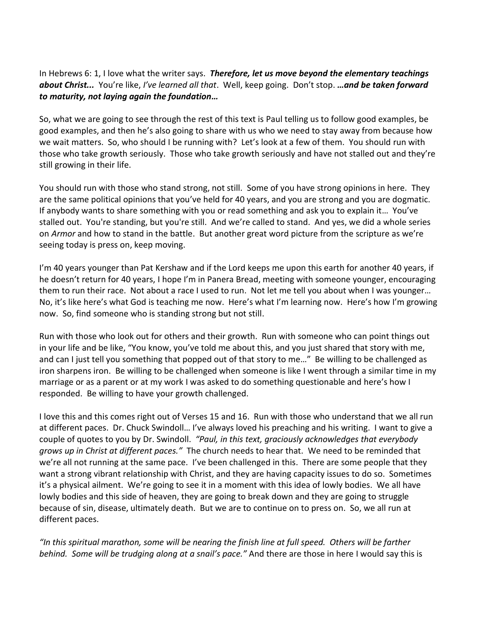In Hebrews 6: 1, I love what the writer says. *Therefore, let us move beyond the elementary teachings about Christ...* You're like, *I've learned all that*. Well, keep going. Don't stop. *…and be taken forward to maturity, not laying again the foundation…*

So, what we are going to see through the rest of this text is Paul telling us to follow good examples, be good examples, and then he's also going to share with us who we need to stay away from because how we wait matters. So, who should I be running with? Let's look at a few of them. You should run with those who take growth seriously. Those who take growth seriously and have not stalled out and they're still growing in their life.

You should run with those who stand strong, not still. Some of you have strong opinions in here. They are the same political opinions that you've held for 40 years, and you are strong and you are dogmatic. If anybody wants to share something with you or read something and ask you to explain it… You've stalled out. You're standing, but you're still. And we're called to stand. And yes, we did a whole series on *Armor* and how to stand in the battle. But another great word picture from the scripture as we're seeing today is press on, keep moving.

I'm 40 years younger than Pat Kershaw and if the Lord keeps me upon this earth for another 40 years, if he doesn't return for 40 years, I hope I'm in Panera Bread, meeting with someone younger, encouraging them to run their race. Not about a race I used to run. Not let me tell you about when I was younger… No, it's like here's what God is teaching me now. Here's what I'm learning now. Here's how I'm growing now. So, find someone who is standing strong but not still.

Run with those who look out for others and their growth. Run with someone who can point things out in your life and be like, "You know, you've told me about this, and you just shared that story with me, and can I just tell you something that popped out of that story to me..." Be willing to be challenged as iron sharpens iron. Be willing to be challenged when someone is like I went through a similar time in my marriage or as a parent or at my work I was asked to do something questionable and here's how I responded. Be willing to have your growth challenged.

I love this and this comes right out of Verses 15 and 16. Run with those who understand that we all run at different paces. Dr. Chuck Swindoll… I've always loved his preaching and his writing. I want to give a couple of quotes to you by Dr. Swindoll. *"Paul, in this text, graciously acknowledges that everybody grows up in Christ at different paces."* The church needs to hear that. We need to be reminded that we're all not running at the same pace. I've been challenged in this. There are some people that they want a strong vibrant relationship with Christ, and they are having capacity issues to do so. Sometimes it's a physical ailment. We're going to see it in a moment with this idea of lowly bodies. We all have lowly bodies and this side of heaven, they are going to break down and they are going to struggle because of sin, disease, ultimately death. But we are to continue on to press on. So, we all run at different paces.

*"In this spiritual marathon, some will be nearing the finish line at full speed. Others will be farther behind. Some will be trudging along at a snail's pace."* And there are those in here I would say this is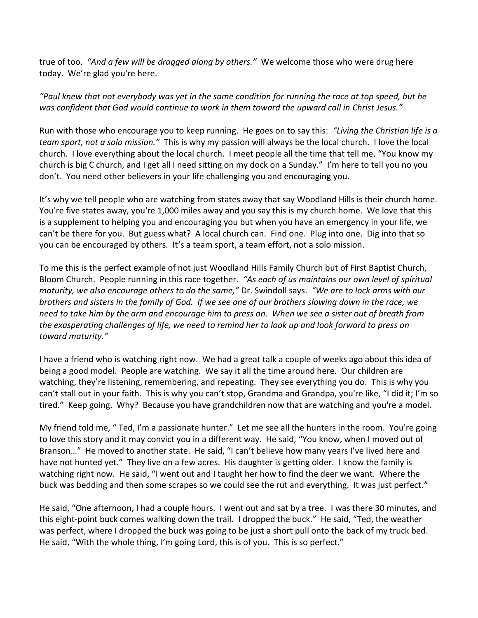true of too. *"And a few will be dragged along by others."* We welcome those who were drug here today. We're glad you're here.

## *"Paul knew that not everybody was yet in the same condition for running the race at top speed, but he was confident that God would continue to work in them toward the upward call in Christ Jesus."*

Run with those who encourage you to keep running. He goes on to say this: *"Living the Christian life is a team sport, not a solo mission."* This is why my passion will always be the local church. I love the local church. I love everything about the local church. I meet people all the time that tell me. "You know my church is big C church, and I get all I need sitting on my dock on a Sunday." I'm here to tell you no you don't. You need other believers in your life challenging you and encouraging you.

It's why we tell people who are watching from states away that say Woodland Hills is their church home. You're five states away, you're 1,000 miles away and you say this is my church home. We love that this is a supplement to helping you and encouraging you but when you have an emergency in your life, we can't be there for you. But guess what? A local church can. Find one. Plug into one. Dig into that so you can be encouraged by others. It's a team sport, a team effort, not a solo mission.

To me this is the perfect example of not just Woodland Hills Family Church but of First Baptist Church, Bloom Church. People running in this race together. *"As each of us maintains our own level of spiritual maturity, we also encourage others to do the same,"* Dr. Swindoll says. *"We are to lock arms with our brothers and sisters in the family of God. If we see one of our brothers slowing down in the race, we need to take him by the arm and encourage him to press on. When we see a sister out of breath from the exasperating challenges of life, we need to remind her to look up and look forward to press on toward maturity."*

I have a friend who is watching right now. We had a great talk a couple of weeks ago about this idea of being a good model. People are watching. We say it all the time around here. Our children are watching, they're listening, remembering, and repeating. They see everything you do. This is why you can't stall out in your faith. This is why you can't stop, Grandma and Grandpa, you're like, "I did it; I'm so tired." Keep going. Why? Because you have grandchildren now that are watching and you're a model.

My friend told me, " Ted, I'm a passionate hunter." Let me see all the hunters in the room. You're going to love this story and it may convict you in a different way. He said, "You know, when I moved out of Branson…" He moved to another state. He said, "I can't believe how many years I've lived here and have not hunted yet." They live on a few acres. His daughter is getting older. I know the family is watching right now. He said, "I went out and I taught her how to find the deer we want. Where the buck was bedding and then some scrapes so we could see the rut and everything. It was just perfect."

He said, "One afternoon, I had a couple hours. I went out and sat by a tree. I was there 30 minutes, and this eight-point buck comes walking down the trail. I dropped the buck." He said, "Ted, the weather was perfect, where I dropped the buck was going to be just a short pull onto the back of my truck bed. He said, "With the whole thing, I'm going Lord, this is of you. This is so perfect."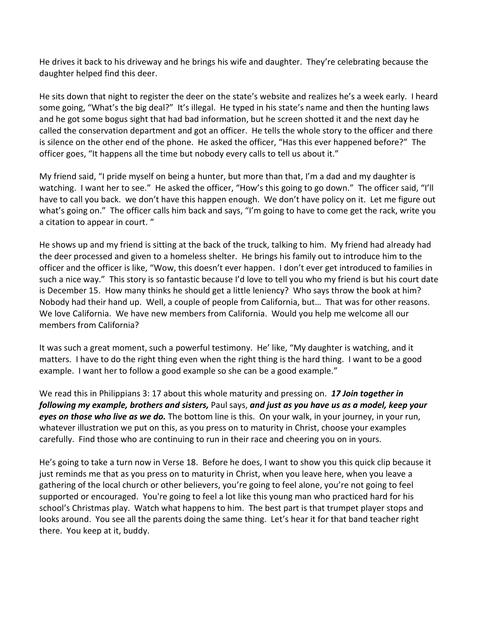He drives it back to his driveway and he brings his wife and daughter. They're celebrating because the daughter helped find this deer.

He sits down that night to register the deer on the state's website and realizes he's a week early. I heard some going, "What's the big deal?" It's illegal. He typed in his state's name and then the hunting laws and he got some bogus sight that had bad information, but he screen shotted it and the next day he called the conservation department and got an officer. He tells the whole story to the officer and there is silence on the other end of the phone. He asked the officer, "Has this ever happened before?" The officer goes, "It happens all the time but nobody every calls to tell us about it."

My friend said, "I pride myself on being a hunter, but more than that, I'm a dad and my daughter is watching. I want her to see." He asked the officer, "How's this going to go down." The officer said, "I'll have to call you back. we don't have this happen enough. We don't have policy on it. Let me figure out what's going on." The officer calls him back and says, "I'm going to have to come get the rack, write you a citation to appear in court. "

He shows up and my friend is sitting at the back of the truck, talking to him. My friend had already had the deer processed and given to a homeless shelter. He brings his family out to introduce him to the officer and the officer is like, "Wow, this doesn't ever happen. I don't ever get introduced to families in such a nice way." This story is so fantastic because I'd love to tell you who my friend is but his court date is December 15. How many thinks he should get a little leniency? Who says throw the book at him? Nobody had their hand up. Well, a couple of people from California, but… That was for other reasons. We love California. We have new members from California. Would you help me welcome all our members from California?

It was such a great moment, such a powerful testimony. He' like, "My daughter is watching, and it matters. I have to do the right thing even when the right thing is the hard thing. I want to be a good example. I want her to follow a good example so she can be a good example."

We read this in Philippians 3: 17 about this whole maturity and pressing on. *17 Join together in following my example, brothers and sisters,* Paul says, *and just as you have us as a model, keep your eyes on those who live as we do.* The bottom line is this. On your walk, in your journey, in your run, whatever illustration we put on this, as you press on to maturity in Christ, choose your examples carefully. Find those who are continuing to run in their race and cheering you on in yours.

He's going to take a turn now in Verse 18. Before he does, I want to show you this quick clip because it just reminds me that as you press on to maturity in Christ, when you leave here, when you leave a gathering of the local church or other believers, you're going to feel alone, you're not going to feel supported or encouraged. You're going to feel a lot like this young man who practiced hard for his school's Christmas play. Watch what happens to him. The best part is that trumpet player stops and looks around. You see all the parents doing the same thing. Let's hear it for that band teacher right there. You keep at it, buddy.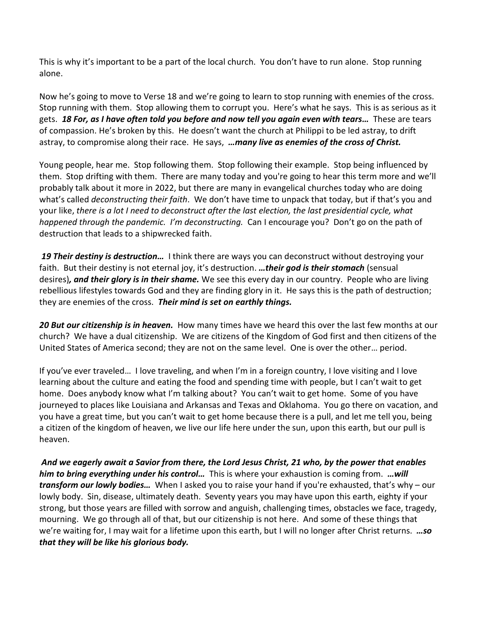This is why it's important to be a part of the local church. You don't have to run alone. Stop running alone.

Now he's going to move to Verse 18 and we're going to learn to stop running with enemies of the cross. Stop running with them. Stop allowing them to corrupt you. Here's what he says. This is as serious as it gets. *18 For, as I have often told you before and now tell you again even with tears…* These are tears of compassion. He's broken by this. He doesn't want the church at Philippi to be led astray, to drift astray, to compromise along their race. He says, *…many live as enemies of the cross of Christ.*

Young people, hear me. Stop following them. Stop following their example. Stop being influenced by them. Stop drifting with them. There are many today and you're going to hear this term more and we'll probably talk about it more in 2022, but there are many in evangelical churches today who are doing what's called *deconstructing their faith*. We don't have time to unpack that today, but if that's you and your like, *there is a lot I need to deconstruct after the last election, the last presidential cycle, what happened through the pandemic. I'm deconstructing.* Can I encourage you? Don't go on the path of destruction that leads to a shipwrecked faith.

*19 Their destiny is destruction…* I think there are ways you can deconstruct without destroying your faith. But their destiny is not eternal joy, it's destruction. *…their god is their stomach* (sensual desires)*, and their glory is in their shame.* We see this every day in our country. People who are living rebellious lifestyles towards God and they are finding glory in it. He says this is the path of destruction; they are enemies of the cross. *Their mind is set on earthly things.*

*20 But our citizenship is in heaven.* How many times have we heard this over the last few months at our church? We have a dual citizenship. We are citizens of the Kingdom of God first and then citizens of the United States of America second; they are not on the same level. One is over the other… period.

If you've ever traveled… I love traveling, and when I'm in a foreign country, I love visiting and I love learning about the culture and eating the food and spending time with people, but I can't wait to get home. Does anybody know what I'm talking about? You can't wait to get home. Some of you have journeyed to places like Louisiana and Arkansas and Texas and Oklahoma. You go there on vacation, and you have a great time, but you can't wait to get home because there is a pull, and let me tell you, being a citizen of the kingdom of heaven, we live our life here under the sun, upon this earth, but our pull is heaven.

*And we eagerly await a Savior from there, the Lord Jesus Christ, 21 who, by the power that enables him to bring everything under his control…* This is where your exhaustion is coming from. *…will transform our lowly bodies…* When I asked you to raise your hand if you're exhausted, that's why – our lowly body. Sin, disease, ultimately death. Seventy years you may have upon this earth, eighty if your strong, but those years are filled with sorrow and anguish, challenging times, obstacles we face, tragedy, mourning. We go through all of that, but our citizenship is not here. And some of these things that we're waiting for, I may wait for a lifetime upon this earth, but I will no longer after Christ returns. *…so that they will be like his glorious body.*